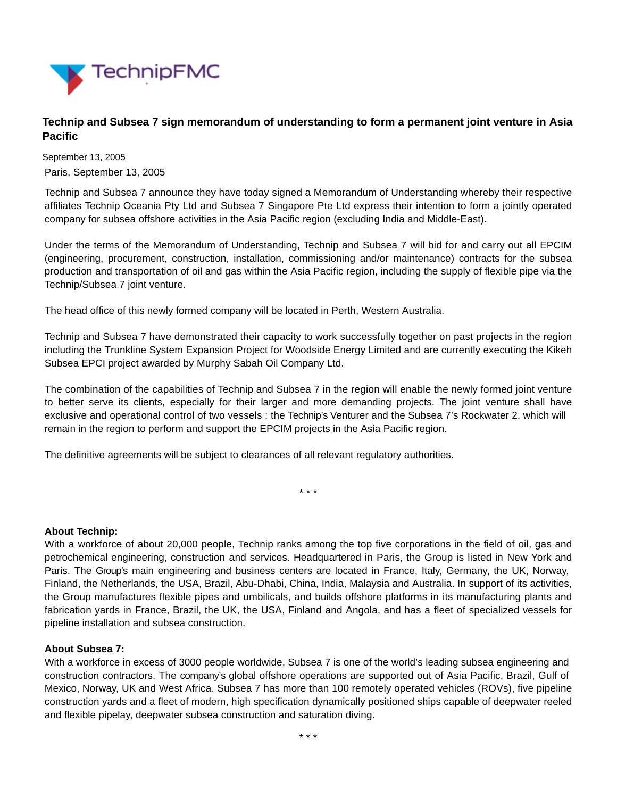

## **Technip and Subsea 7 sign memorandum of understanding to form a permanent joint venture in Asia Pacific**

September 13, 2005 Paris, September 13, 2005

Technip and Subsea 7 announce they have today signed a Memorandum of Understanding whereby their respective affiliates Technip Oceania Pty Ltd and Subsea 7 Singapore Pte Ltd express their intention to form a jointly operated company for subsea offshore activities in the Asia Pacific region (excluding India and Middle-East).

Under the terms of the Memorandum of Understanding, Technip and Subsea 7 will bid for and carry out all EPCIM (engineering, procurement, construction, installation, commissioning and/or maintenance) contracts for the subsea production and transportation of oil and gas within the Asia Pacific region, including the supply of flexible pipe via the Technip/Subsea 7 joint venture.

The head office of this newly formed company will be located in Perth, Western Australia.

Technip and Subsea 7 have demonstrated their capacity to work successfully together on past projects in the region including the Trunkline System Expansion Project for Woodside Energy Limited and are currently executing the Kikeh Subsea EPCI project awarded by Murphy Sabah Oil Company Ltd.

The combination of the capabilities of Technip and Subsea 7 in the region will enable the newly formed joint venture to better serve its clients, especially for their larger and more demanding projects. The joint venture shall have exclusive and operational control of two vessels : the Technip's Venturer and the Subsea 7's Rockwater 2, which will remain in the region to perform and support the EPCIM projects in the Asia Pacific region.

The definitive agreements will be subject to clearances of all relevant regulatory authorities.

\* \* \*

## **About Technip:**

With a workforce of about 20,000 people, Technip ranks among the top five corporations in the field of oil, gas and petrochemical engineering, construction and services. Headquartered in Paris, the Group is listed in New York and Paris. The Group's main engineering and business centers are located in France, Italy, Germany, the UK, Norway, Finland, the Netherlands, the USA, Brazil, Abu-Dhabi, China, India, Malaysia and Australia. In support of its activities, the Group manufactures flexible pipes and umbilicals, and builds offshore platforms in its manufacturing plants and fabrication yards in France, Brazil, the UK, the USA, Finland and Angola, and has a fleet of specialized vessels for pipeline installation and subsea construction.

## **About Subsea 7:**

With a workforce in excess of 3000 people worldwide, Subsea 7 is one of the world's leading subsea engineering and construction contractors. The company's global offshore operations are supported out of Asia Pacific, Brazil, Gulf of Mexico, Norway, UK and West Africa. Subsea 7 has more than 100 remotely operated vehicles (ROVs), five pipeline construction yards and a fleet of modern, high specification dynamically positioned ships capable of deepwater reeled and flexible pipelay, deepwater subsea construction and saturation diving.